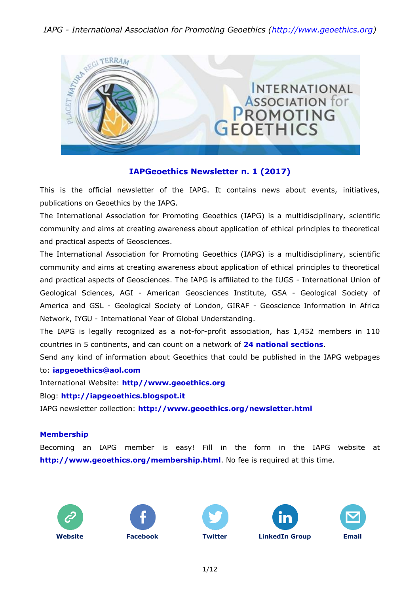

### **IAPGeoethics Newsletter n. 1 (2017)**

This is the official newsletter of the IAPG. It contains news about events, initiatives, publications on Geoethics by the IAPG.

The International Association for Promoting Geoethics (IAPG) is a multidisciplinary, scientific community and aims at creating awareness about application of ethical principles to theoretical and practical aspects of Geosciences.

The International Association for Promoting Geoethics (IAPG) is a multidisciplinary, scientific community and aims at creating awareness about application of ethical principles to theoretical and practical aspects of Geosciences. The IAPG is affiliated to the IUGS - International Union of Geological Sciences, AGI - American Geosciences Institute, GSA - Geological Society of America and GSL - Geological Society of London, GIRAF - Geoscience Information in Africa Network, IYGU - International Year of Global Understanding.

The IAPG is legally recognized as a not-for-profit association, has 1,452 members in 110 countries in 5 continents, and can count on a network of **24 national [sections](http://www.geoethics.org/sections.html)**.

Send any kind of information about Geoethics that could be published in the IAPG webpages to: **[iapgeoethics@aol.com](mailto:iapgeoethics@aol.com?subject=IAPG%20newsletter)**

International Website: **[http//www.geoethics.org](http://www.geoethics.org/)**

Blog: **[http://iapgeoethics.blogspot.it](http://iapgeoethics.blogspot.it/)**

IAPG newsletter collection: **<http://www.geoethics.org/newsletter.html>**

#### **Membership**

Becoming an IAPG member is easy! Fill in the form in the IAPG website at **<http://www.geoethics.org/membership.html>**. No fee is required at this time.









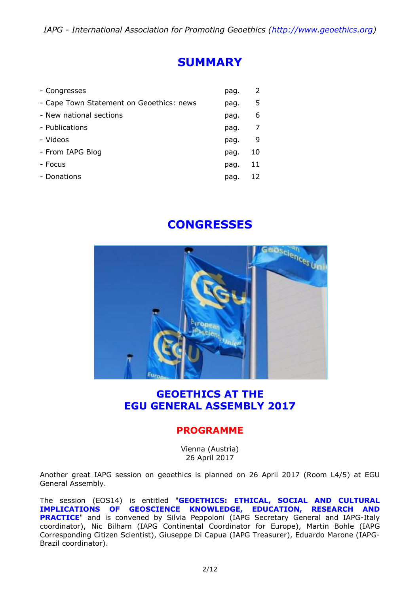# **SUMMARY**

| - Congresses                             | pag. | 2  |
|------------------------------------------|------|----|
| - Cape Town Statement on Geoethics: news | pag. | 5  |
| - New national sections                  | pag. | 6  |
| - Publications                           | pag. | 7  |
| - Videos                                 | pag. | 9  |
| - From IAPG Blog                         | pag. | 10 |
| - Focus                                  | pag. | 11 |
| - Donations                              | pag. |    |

# **CONGRESSES**



## **GEOETHICS AT THE EGU GENERAL ASSEMBLY 2017**

### **PROGRAMME**

Vienna (Austria) 26 April 2017

Another great IAPG session on geoethics is planned on 26 April 2017 (Room L4/5) at EGU General Assembly.

The session (EOS14) is entitled "**[GEOETHICS:](http://www.geoethics.org/egu2017-eos14) ETHICAL, SOCIAL AND CULTURAL [IMPLICATIONS](http://www.geoethics.org/egu2017-eos14) OF GEOSCIENCE KNOWLEDGE, EDUCATION, RESEARCH AND [PRACTICE](http://www.geoethics.org/egu2017-eos14)**" and is convened by Silvia Peppoloni (IAPG Secretary General and IAPG-Italy coordinator), Nic Bilham (IAPG Continental Coordinator for Europe), Martin Bohle (IAPG Corresponding Citizen Scientist), Giuseppe Di Capua (IAPG Treasurer), Eduardo Marone (IAPG-Brazil coordinator).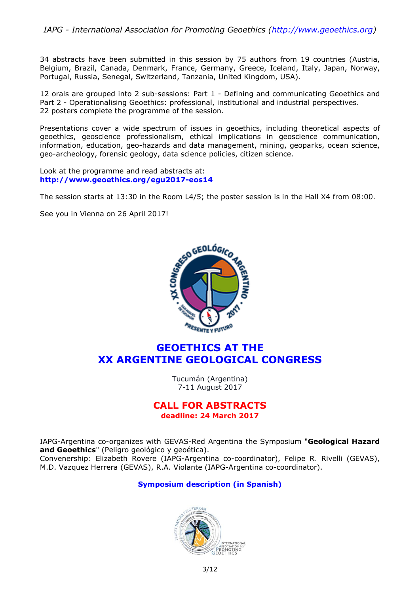34 abstracts have been submitted in this session by 75 authors from 19 countries (Austria, Belgium, Brazil, Canada, Denmark, France, Germany, Greece, Iceland, Italy, Japan, Norway, Portugal, Russia, Senegal, Switzerland, Tanzania, United Kingdom, USA).

12 orals are grouped into 2 sub-sessions: Part 1 - Defining and communicating Geoethics and Part 2 - Operationalising Geoethics: professional, institutional and industrial perspectives. 22 posters complete the programme of the session.

Presentations cover a wide spectrum of issues in geoethics, including theoretical aspects of geoethics, geoscience professionalism, ethical implications in geoscience communication, information, education, geo-hazards and data management, mining, geoparks, ocean science, geo-archeology, forensic geology, data science policies, citizen science.

Look at the programme and read abstracts at: **<http://www.geoethics.org/egu2017-eos14>**

The session starts at 13:30 in the Room L4/5; the poster session is in the Hall X4 from 08:00.

See you in Vienna on 26 April 2017!



### **GEOETHICS AT THE XX ARGENTINE GEOLOGICAL CONGRESS**

Tucumán (Argentina) 7-11 August 2017

### **CALL FOR ABSTRACTS deadline: 24 March 2017**

IAPG-Argentina co-organizes with GEVAS-Red Argentina the Symposium "**Geological Hazard and Geoethics**" (Peligro geológico y geoética). Convenership: Elizabeth Rovere (IAPG-Argentina co-coordinator), Felipe R. Rivelli (GEVAS), M.D. Vazquez Herrera (GEVAS), R.A. Violante (IAPG-Argentina co-coordinator).

#### **[Symposium](http://congresogeologico.org.ar/simposios/peligro-geologico-geoetica/) description (in Spanish)**

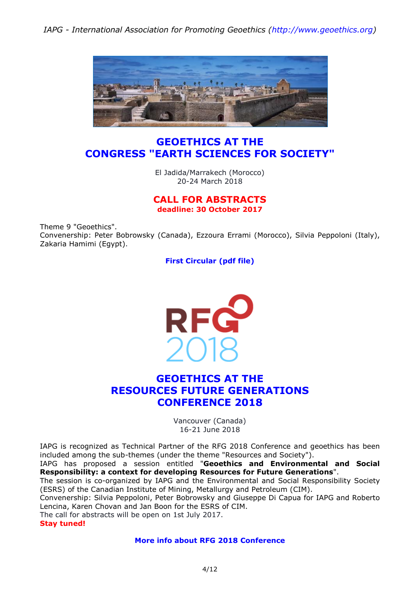

### **GEOETHICS AT THE CONGRESS "EARTH SCIENCES FOR SOCIETY"**

El Jadida/Marrakech (Morocco) 20-24 March 2018

#### **CALL FOR ABSTRACTS deadline: 30 October 2017**

Theme 9 "Geoethics". Convenership: Peter Bobrowsky (Canada), Ezzoura Errami (Morocco), Silvia Peppoloni (Italy), Zakaria Hamimi (Egypt).

**First [Circular](http://iugs.org/uploads/First%20circular%204-1-2017-1.pdf) (pdf file)**



## **GEOETHICS AT THE RESOURCES FUTURE GENERATIONS CONFERENCE 2018**

Vancouver (Canada) 16-21 June 2018

IAPG is recognized as Technical Partner of the RFG 2018 Conference and geoethics has been included among the sub-themes (under the theme "Resources and Society").

IAPG has proposed a session entitled "**Geoethics and Environmental and Social Responsibility: a context for developing Resources for Future Generations**".

The session is co-organized by IAPG and the Environmental and Social Responsibility Society (ESRS) of the Canadian Institute of Mining, Metallurgy and Petroleum (CIM).

Convenership: Silvia Peppoloni, Peter Bobrowsky and Giuseppe Di Capua for IAPG and Roberto Lencina, Karen Chovan and Jan Boon for the ESRS of CIM.

The call for abstracts will be open on 1st July 2017.

**Stay tuned!**

**More info about RFG 2018 [Conference](http://www.rfg2018.org/)**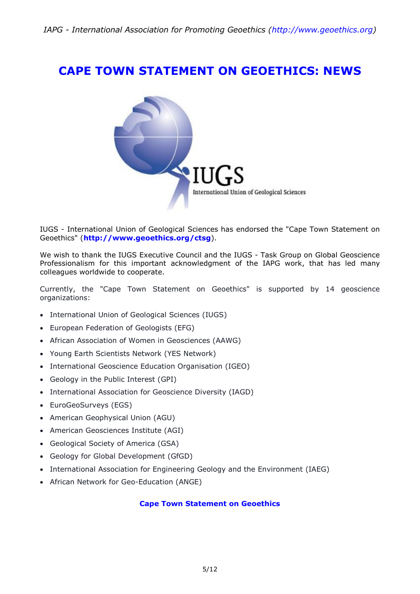# **CAPE TOWN STATEMENT ON GEOETHICS: NEWS**



IUGS - International Union of Geological Sciences has endorsed the "Cape Town Statement on Geoethics" (**<http://www.geoethics.org/ctsg>**).

We wish to thank the IUGS Executive Council and the IUGS - Task Group on Global Geoscience Professionalism for this important acknowledgment of the IAPG work, that has led many colleagues worldwide to cooperate.

Currently, the "Cape Town Statement on Geoethics" is supported by 14 geoscience organizations:

- International Union of Geological Sciences (IUGS)
- European Federation of Geologists (EFG)
- African Association of Women in Geosciences (AAWG)
- Young Earth Scientists Network (YES Network)
- International Geoscience Education Organisation (IGEO)
- Geology in the Public Interest (GPI)
- International Association for Geoscience Diversity (IAGD)
- EuroGeoSurveys (EGS)
- American Geophysical Union (AGU)
- American Geosciences Institute (AGI)
- Geological Society of America (GSA)
- Geology for Global Development (GfGD)
- International Association for Engineering Geology and the Environment (IAEG)
- African Network for Geo-Education (ANGE)

#### **Cape Town [Statement](http://www.geoethics.org/ctsg) on Geoethics**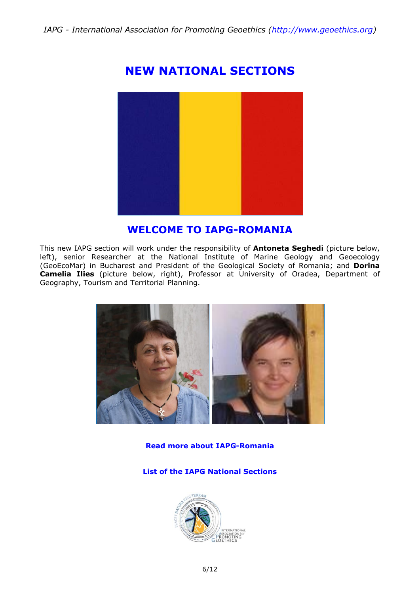# **NEW NATIONAL SECTIONS**



## **WELCOME TO IAPG-ROMANIA**

This new IAPG section will work under the responsibility of **Antoneta Seghedi** (picture below, left), senior Researcher at the National Institute of Marine Geology and Geoecology (GeoEcoMar) in Bucharest and President of the Geological Society of Romania; and **Dorina Camelia Ilies** (picture below, right), Professor at University of Oradea, Department of Geography, Tourism and Territorial Planning.



**Read more about [IAPG-Romania](http://iapgeoethics.blogspot.it/2017/01/the-iapg-section-of-romania-welcome-to.html)**

**List of the IAPG National [Sections](http://www.geoethics.org/sections)**

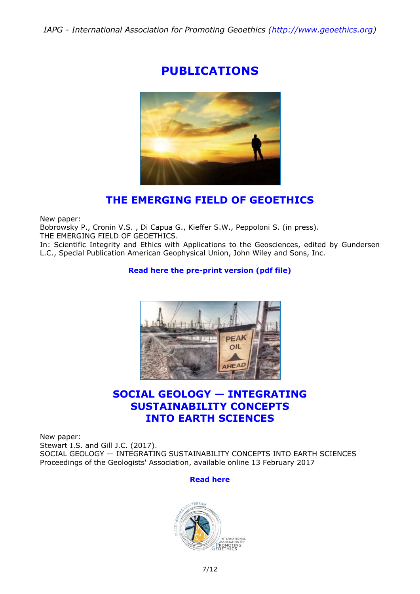# **PUBLICATIONS**



## **THE EMERGING FIELD OF GEOETHICS**

New paper:

Bobrowsky P., Cronin V.S. , Di Capua G., Kieffer S.W., Peppoloni S. (in press).

THE EMERGING FIELD OF GEOETHICS.

In: Scientific Integrity and Ethics with Applications to the Geosciences, edited by Gundersen L.C., Special Publication American Geophysical Union, John Wiley and Sons, Inc.

### **[Read here the pre-print version](http://media.wix.com/ugd/5195a5_2d21386d650f4f418cb05d0d7dad395c.pdf) (pdf file)**



## **SOCIAL GEOLOGY — INTEGRATING SUSTAINABILITY CONCEPTS INTO EARTH SCIENCES**

New paper: Stewart I.S. and Gill J.C. (2017). SOCIAL GEOLOGY — INTEGRATING SUSTAINABILITY CONCEPTS INTO EARTH SCIENCES Proceedings of the Geologists' Association, available online 13 February 2017

#### **[Read here](http://www.sciencedirect.com/science/article/pii/S0016787817300044)**

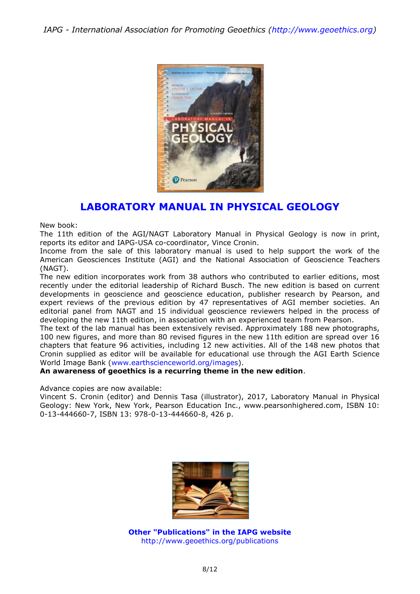

## **LABORATORY MANUAL IN PHYSICAL GEOLOGY**

New book:

The 11th edition of the AGI/NAGT Laboratory Manual in Physical Geology is now in print, reports its editor and IAPG-USA co-coordinator, Vince Cronin.

Income from the sale of this laboratory manual is used to help support the work of the American Geosciences Institute (AGI) and the National Association of Geoscience Teachers (NAGT).

The new edition incorporates work from 38 authors who contributed to earlier editions, most recently under the editorial leadership of Richard Busch. The new edition is based on current developments in geoscience and geoscience education, publisher research by Pearson, and expert reviews of the previous edition by 47 representatives of AGI member societies. An editorial panel from NAGT and 15 individual geoscience reviewers helped in the process of developing the new 11th edition, in association with an experienced team from Pearson.

The text of the lab manual has been extensively revised. Approximately 188 new photographs, 100 new figures, and more than 80 revised figures in the new 11th edition are spread over 16 chapters that feature 96 activities, including 12 new activities. All of the 148 new photos that Cronin supplied as editor will be available for educational use through the AGI Earth Science World Image Bank [\(www.earthscienceworld.org/images\)](http://www.earthscienceworld.org/images).

#### **An awareness of geoethics is a recurring theme in the new edition**.

Advance copies are now available:

Vincent S. Cronin (editor) and Dennis Tasa (illustrator), 2017, Laboratory Manual in Physical Geology: New York, New York, Pearson Education Inc., www.pearsonhighered.com, ISBN 10: 0-13-444660-7, ISBN 13: 978-0-13-444660-8, 426 p.



**Other "Publications" in the IAPG website** <http://www.geoethics.org/publications>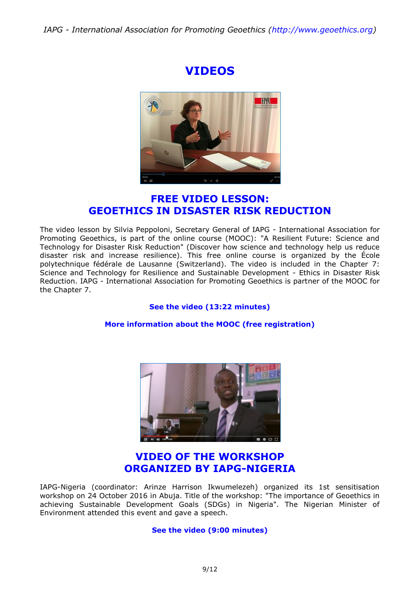# **VIDEOS**



## **[FREE VIDEO LESSON:](https://www.youtube.com/watch?v=jCVkuaKAqK8&t=43s) [GEOETHICS IN DISASTER RISK REDUCTION](https://www.youtube.com/watch?v=jCVkuaKAqK8&t=43s)**

The video lesson by Silvia Peppoloni, Secretary General of IAPG - International Association for Promoting Geoethics, is part of the online course (MOOC): "A Resilient Future: Science and Technology for Disaster Risk Reduction" (Discover how science and technology help us reduce disaster risk and increase resilience). This free online course is organized by the École polytechnique fédérale de Lausanne (Switzerland). The video is included in the Chapter 7: Science and Technology for Resilience and Sustainable Development - Ethics in Disaster Risk Reduction. IAPG - International Association for Promoting Geoethics is partner of the MOOC for the Chapter 7.

#### **[See the video \(13:22 minutes\)](https://www.youtube.com/watch?v=jCVkuaKAqK8&t=43s)**

#### **[More information about the MOOC \(free registration\)](https://www.edx.org/course/resilient-future-science-technology-epflx-tech4drr#!)**



### **[VIDEO OF THE WORKSHOP](https://www.youtube.com/watch?v=N0lbmlaZqjA&t=339s) [ORGANIZED BY IAPG-NIGERIA](https://www.youtube.com/watch?v=N0lbmlaZqjA&t=339s)**

IAPG-Nigeria (coordinator: Arinze Harrison Ikwumelezeh) organized its 1st sensitisation workshop on 24 October 2016 in Abuja. Title of the workshop: "The importance of Geoethics in achieving Sustainable Development Goals (SDGs) in Nigeria". The Nigerian Minister of Environment attended this event and gave a speech.

#### **[See the video \(9:00 minutes\)](https://www.youtube.com/watch?v=N0lbmlaZqjA&t=339s)**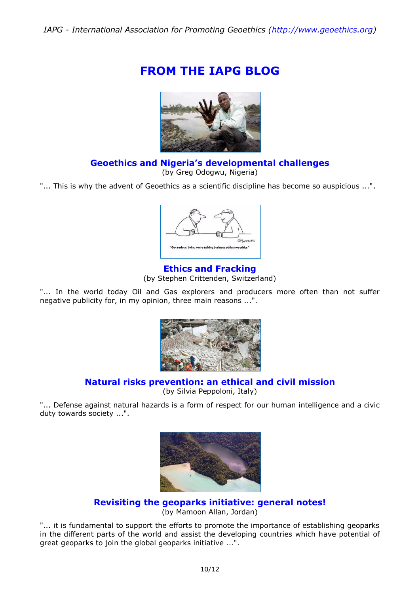# **FROM THE IAPG BLOG**



### **Geoethics and Nigeria's [developmental challenges](http://iapgeoethics.blogspot.it/2017/02/geoethics-and-nigerias-developmental.html)**

(by Greg Odogwu, Nigeria)

"... This is why the advent of Geoethics as a scientific discipline has become so auspicious ...".



**[Ethics and Fracking](http://iapgeoethics.blogspot.it/2017/02/ethics-and-fracking-by-crittenden.html)** (by Stephen Crittenden, Switzerland)

"... In the world today Oil and Gas explorers and producers more often than not suffer negative publicity for, in my opinion, three main reasons ...".



### **Natural risks prevention: [an ethical and civil mission](http://iapgeoethics.blogspot.it/2017/03/natural-risks-prevention-ethical-and.html)**

(by Silvia Peppoloni, Italy)

"... Defense against natural hazards is a form of respect for our human intelligence and a civic duty towards society ...".



**[Revisiting the geoparks initiative:](http://iapgeoethics.blogspot.it/2017/03/revisiting-geoparks-initiative-general.html) general notes!** (by Mamoon Allan, Jordan)

"... it is fundamental to support the efforts to promote the importance of establishing geoparks in the different parts of the world and assist the developing countries which have potential of great geoparks to join the global geoparks initiative ...".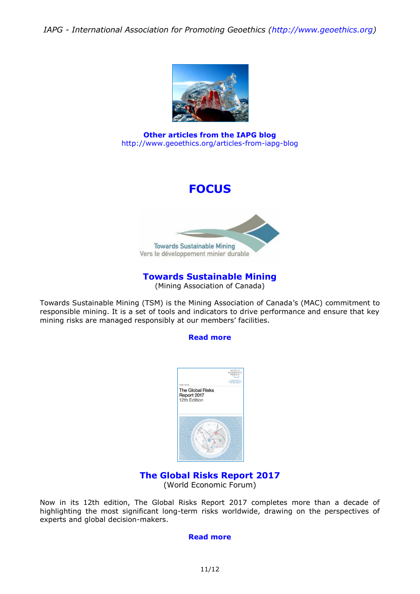

**Other articles from the IAPG blog** <http://www.geoethics.org/articles-from-iapg-blog>

# **FOCUS**



### **[Towards Sustainable Mining](http://mining.ca/towards-sustainable-mining)**

(Mining Association of Canada)

Towards Sustainable Mining (TSM) is the Mining Association of Canada's (MAC) commitment to responsible mining. It is a set of tools and indicators to drive performance and ensure that key mining risks are managed responsibly at our members' facilities.

#### **[Read more](http://mining.ca/towards-sustainable-mining)**



#### **[The Global Risks Report 2017](https://www.weforum.org/reports/the-global-risks-report-2017)** (World Economic Forum)

Now in its 12th edition, The Global Risks Report 2017 completes more than a decade of highlighting the most significant long-term risks worldwide, drawing on the perspectives of experts and global decision-makers.

#### **[Read more](https://www.weforum.org/reports/the-global-risks-report-2017)**